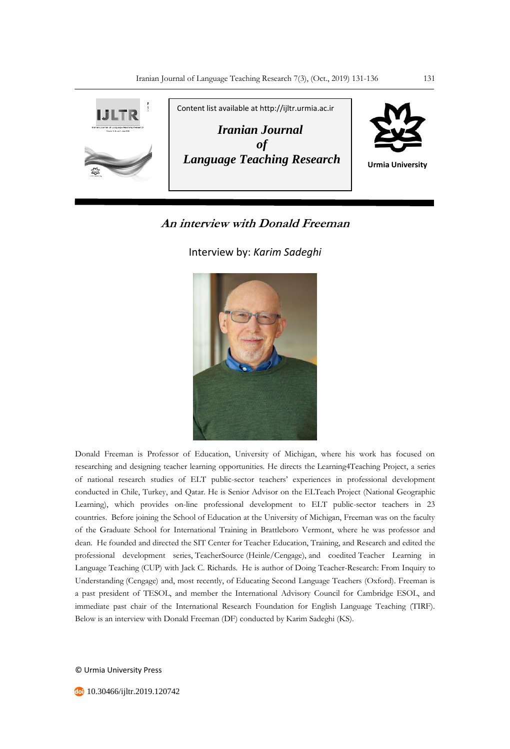

## **An interview with Donald Freeman**

Interview by: *Karim Sadeghi*



Donald Freeman is Professor of Education, University of Michigan, where his work has focused on researching and designing teacher learning opportunities. He directs the Learning4Teaching Project, a series of national research studies of ELT public-sector teachers' experiences in professional development conducted in Chile, Turkey, and Qatar. He is Senior Advisor on the ELTeach Project (National Geographic Learning), which provides on-line professional development to ELT public-sector teachers in 23 countries. Before joining the School of Education at the University of Michigan, Freeman was on the faculty of the Graduate School for International Training in Brattleboro Vermont, where he was professor and dean. He founded and directed the SIT Center for Teacher Education, Training, and Research and edited the professional development series, TeacherSource (Heinle/Cengage), and coedited Teacher Learning in Language Teaching (CUP) with Jack C. Richards. He is author of Doing Teacher-Research: From Inquiry to Understanding (Cengage) and, most recently, of Educating Second Language Teachers (Oxford). Freeman is a past president of TESOL, and member the International Advisory Council for Cambridge ESOL, and immediate past chair of the International Research Foundation for English Language Teaching (TIRF). Below is an interview with Donald Freeman (DF) conducted by Karim Sadeghi (KS).

© Urmia University Press

**10.30466/ijltr.2019.120742**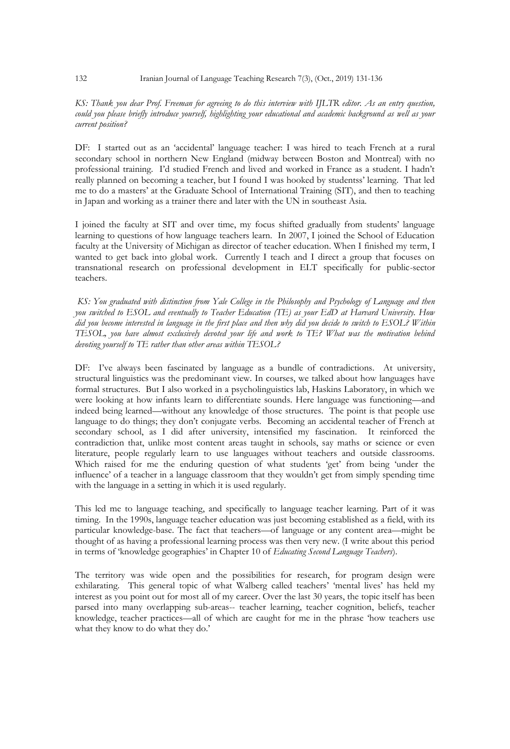## *KS: Thank you dear Prof. Freeman for agreeing to do this interview with IJLTR editor. As an entry question, could you please briefly introduce yourself, highlighting your educational and academic background as well as your current position?*

DF: I started out as an 'accidental' language teacher: I was hired to teach French at a rural secondary school in northern New England (midway between Boston and Montreal) with no professional training. I'd studied French and lived and worked in France as a student. I hadn't really planned on becoming a teacher, but I found I was hooked by studentss' learning. That led me to do a masters' at the Graduate School of International Training (SIT), and then to teaching in Japan and working as a trainer there and later with the UN in southeast Asia.

I joined the faculty at SIT and over time, my focus shifted gradually from students' language learning to questions of how language teachers learn. In 2007, I joined the School of Education faculty at the University of Michigan as director of teacher education. When I finished my term, I wanted to get back into global work. Currently I teach and I direct a group that focuses on transnational research on professional development in ELT specifically for public-sector teachers.

*KS: You graduated with distinction from Yale College in the Philosophy and Psychology of Language and then you switched to ESOL and eventually to Teacher Education (TE) as your EdD at Harvard University. How did you become interested in language in the first place and then why did you decide to switch to ESOL? Within TESOL, you have almost exclusively devoted your life and work to TE? What was the motivation behind devoting yourself to TE rather than other areas within TESOL?* 

DF: I've always been fascinated by language as a bundle of contradictions. At university, structural linguistics was the predominant view. In courses, we talked about how languages have formal structures. But I also worked in a psycholinguistics lab, Haskins Laboratory, in which we were looking at how infants learn to differentiate sounds. Here language was functioning—and indeed being learned—without any knowledge of those structures. The point is that people use language to do things; they don't conjugate verbs. Becoming an accidental teacher of French at secondary school, as I did after university, intensified my fascination. It reinforced the contradiction that, unlike most content areas taught in schools, say maths or science or even literature, people regularly learn to use languages without teachers and outside classrooms. Which raised for me the enduring question of what students 'get' from being 'under the influence' of a teacher in a language classroom that they wouldn't get from simply spending time with the language in a setting in which it is used regularly.

This led me to language teaching, and specifically to language teacher learning. Part of it was timing. In the 1990s, language teacher education was just becoming established as a field, with its particular knowledge-base. The fact that teachers—of language or any content area—might be thought of as having a professional learning process was then very new. (I write about this period in terms of 'knowledge geographies' in Chapter 10 of *Educating Second Language Teachers*).

The territory was wide open and the possibilities for research, for program design were exhilarating. This general topic of what Walberg called teachers' 'mental lives' has held my interest as you point out for most all of my career. Over the last 30 years, the topic itself has been parsed into many overlapping sub-areas-- teacher learning, teacher cognition, beliefs, teacher knowledge, teacher practices—all of which are caught for me in the phrase 'how teachers use what they know to do what they do.'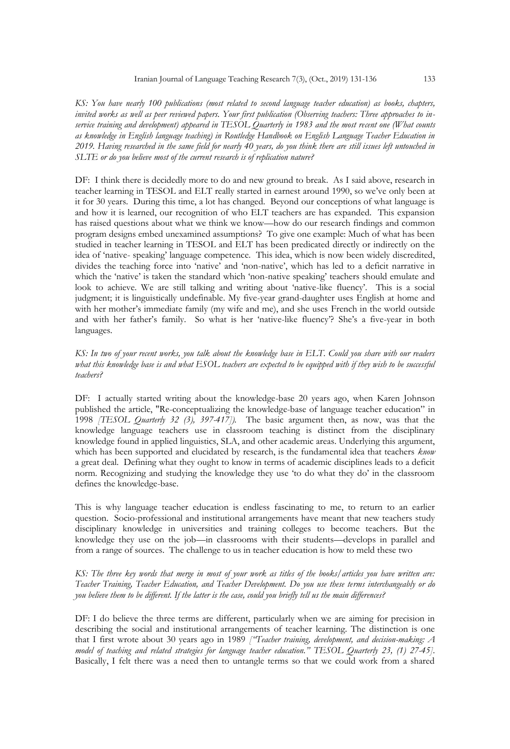*KS: You have nearly 100 publications (most related to second language teacher education) as books, chapters, invited works as well as peer reviewed papers. Your first publication (Observing teachers: Three approaches to inservice training and development) appeared in TESOL Quarterly in 1983 and the most recent one (What counts as knowledge in English language teaching) in Routledge Handbook on English Language Teacher Education in 2019. Having researched in the same field for nearly 40 years, do you think there are still issues left untouched in SLTE or do you believe most of the current research is of replication nature?*

DF: I think there is decidedly more to do and new ground to break. As I said above, research in teacher learning in TESOL and ELT really started in earnest around 1990, so we've only been at it for 30 years. During this time, a lot has changed. Beyond our conceptions of what language is and how it is learned, our recognition of who ELT teachers are has expanded. This expansion has raised questions about what we think we know—how do our research findings and common program designs embed unexamined assumptions? To give one example: Much of what has been studied in teacher learning in TESOL and ELT has been predicated directly or indirectly on the idea of 'native- speaking' language competence. This idea, which is now been widely discredited, divides the teaching force into 'native' and 'non-native', which has led to a deficit narrative in which the 'native' is taken the standard which 'non-native speaking' teachers should emulate and look to achieve. We are still talking and writing about 'native-like fluency'. This is a social judgment; it is linguistically undefinable. My five-year grand-daughter uses English at home and with her mother's immediate family (my wife and me), and she uses French in the world outside and with her father's family. So what is her 'native-like fluency'? She's a five-year in both languages.

*KS: In two of your recent works, you talk about the knowledge base in ELT. Could you share with our readers what this knowledge base is and what ESOL teachers are expected to be equipped with if they wish to be successful teachers?* 

DF: I actually started writing about the knowledge-base 20 years ago, when Karen Johnson published the article, "Re-conceptualizing the knowledge-base of language teacher education" in 1998 *[TESOL Quarterly 32 (3), 397-417]).* The basic argument then, as now, was that the knowledge language teachers use in classroom teaching is distinct from the disciplinary knowledge found in applied linguistics, SLA, and other academic areas. Underlying this argument, which has been supported and elucidated by research, is the fundamental idea that teachers *know* a great deal. Defining what they ought to know in terms of academic disciplines leads to a deficit norm. Recognizing and studying the knowledge they use 'to do what they do' in the classroom defines the knowledge-base.

This is why language teacher education is endless fascinating to me, to return to an earlier question. Socio-professional and institutional arrangements have meant that new teachers study disciplinary knowledge in universities and training colleges to become teachers. But the knowledge they use on the job—in classrooms with their students—develops in parallel and from a range of sources. The challenge to us in teacher education is how to meld these two

*KS: The three key words that merge in most of your work as titles of the books/articles you have written are: Teacher Training, Teacher Education, and Teacher Development. Do you use these terms interchangeably or do you believe them to be different. If the latter is the case, could you briefly tell us the main differences?* 

DF: I do believe the three terms are different, particularly when we are aiming for precision in describing the social and institutional arrangements of teacher learning. The distinction is one that I first wrote about 30 years ago in 1989 *["Teacher training, development, and decision-making: A model of teaching and related strategies for language teacher education." TESOL Quarterly 23, (1) 27-45].* Basically, I felt there was a need then to untangle terms so that we could work from a shared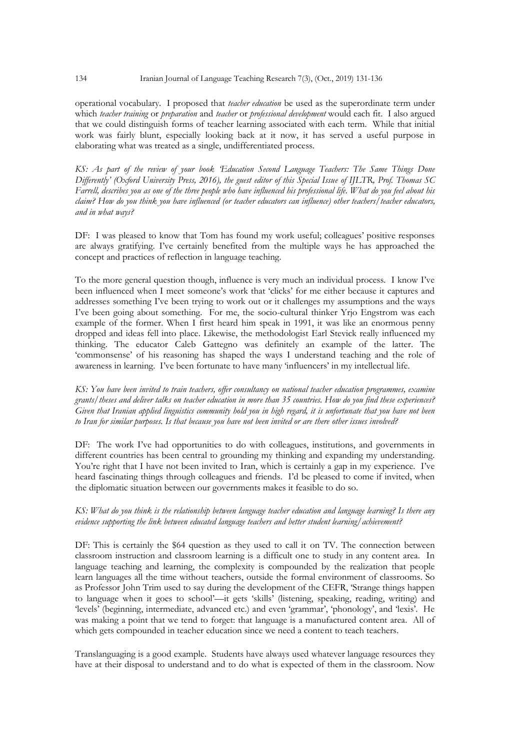operational vocabulary. I proposed that *teacher education* be used as the superordinate term under which *teacher training* or *preparation* and *teacher* or *professional development* would each fit. I also argued that we could distinguish forms of teacher learning associated with each term. While that initial work was fairly blunt, especially looking back at it now, it has served a useful purpose in elaborating what was treated as a single, undifferentiated process.

*KS: As part of the review of your book 'Education Second Language Teachers: The Same Things Done Differently' (Oxford University Press, 2016), the guest editor of this Special Issue of IJLTR, Prof. Thomas SC Farrell, describes you as one of the three people who have influenced his professional life. What do you feel about his claim? How do you think you have influenced (or teacher educators can influence) other teachers/teacher educators, and in what ways?* 

DF: I was pleased to know that Tom has found my work useful; colleagues' positive responses are always gratifying. I've certainly benefited from the multiple ways he has approached the concept and practices of reflection in language teaching.

To the more general question though, influence is very much an individual process. I know I've been influenced when I meet someone's work that 'clicks' for me either because it captures and addresses something I've been trying to work out or it challenges my assumptions and the ways I've been going about something. For me, the socio-cultural thinker Yrjo Engstrom was each example of the former. When I first heard him speak in 1991, it was like an enormous penny dropped and ideas fell into place. Likewise, the methodologist Earl Stevick really influenced my thinking. The educator Caleb Gattegno was definitely an example of the latter. The 'commonsense' of his reasoning has shaped the ways I understand teaching and the role of awareness in learning. I've been fortunate to have many 'influencers' in my intellectual life.

*KS: You have been invited to train teachers, offer consultancy on national teacher education programmes, examine grants/theses and deliver talks on teacher education in more than 35 countries. How do you find these experiences? Given that Iranian applied linguistics community hold you in high regard, it is unfortunate that you have not been to Iran for similar purposes. Is that because you have not been invited or are there other issues involved?* 

DF: The work I've had opportunities to do with colleagues, institutions, and governments in different countries has been central to grounding my thinking and expanding my understanding. You're right that I have not been invited to Iran, which is certainly a gap in my experience. I've heard fascinating things through colleagues and friends. I'd be pleased to come if invited, when the diplomatic situation between our governments makes it feasible to do so.

*KS: What do you think is the relationship between language teacher education and language learning? Is there any evidence supporting the link between educated language teachers and better student learning/achievement?*

DF: This is certainly the \$64 question as they used to call it on TV. The connection between classroom instruction and classroom learning is a difficult one to study in any content area. In language teaching and learning, the complexity is compounded by the realization that people learn languages all the time without teachers, outside the formal environment of classrooms. So as Professor John Trim used to say during the development of the CEFR, 'Strange things happen to language when it goes to school'—it gets 'skills' (listening, speaking, reading, writing) and 'levels' (beginning, intermediate, advanced etc.) and even 'grammar', 'phonology', and 'lexis'. He was making a point that we tend to forget: that language is a manufactured content area. All of which gets compounded in teacher education since we need a content to teach teachers.

Translanguaging is a good example. Students have always used whatever language resources they have at their disposal to understand and to do what is expected of them in the classroom. Now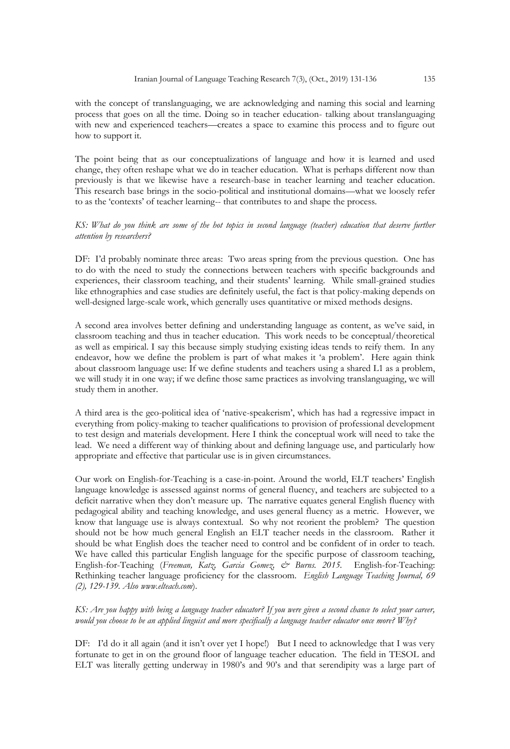with the concept of translanguaging, we are acknowledging and naming this social and learning process that goes on all the time. Doing so in teacher education- talking about translanguaging with new and experienced teachers—creates a space to examine this process and to figure out how to support it.

The point being that as our conceptualizations of language and how it is learned and used change, they often reshape what we do in teacher education. What is perhaps different now than previously is that we likewise have a research-base in teacher learning and teacher education. This research base brings in the socio-political and institutional domains—what we loosely refer to as the 'contexts' of teacher learning-- that contributes to and shape the process.

## *KS: What do you think are some of the hot topics in second language (teacher) education that deserve further attention by researchers?*

DF: I'd probably nominate three areas: Two areas spring from the previous question. One has to do with the need to study the connections between teachers with specific backgrounds and experiences, their classroom teaching, and their students' learning. While small-grained studies like ethnographies and case studies are definitely useful, the fact is that policy-making depends on well-designed large-scale work, which generally uses quantitative or mixed methods designs.

A second area involves better defining and understanding language as content, as we've said, in classroom teaching and thus in teacher education. This work needs to be conceptual/theoretical as well as empirical. I say this because simply studying existing ideas tends to reify them. In any endeavor, how we define the problem is part of what makes it 'a problem'. Here again think about classroom language use: If we define students and teachers using a shared L1 as a problem, we will study it in one way; if we define those same practices as involving translanguaging, we will study them in another.

A third area is the geo-political idea of 'native-speakerism', which has had a regressive impact in everything from policy-making to teacher qualifications to provision of professional development to test design and materials development. Here I think the conceptual work will need to take the lead. We need a different way of thinking about and defining language use, and particularly how appropriate and effective that particular use is in given circumstances.

Our work on English-for-Teaching is a case-in-point. Around the world, ELT teachers' English language knowledge is assessed against norms of general fluency, and teachers are subjected to a deficit narrative when they don't measure up. The narrative equates general English fluency with pedagogical ability and teaching knowledge, and uses general fluency as a metric. However, we know that language use is always contextual. So why not reorient the problem? The question should not be how much general English an ELT teacher needs in the classroom. Rather it should be what English does the teacher need to control and be confident of in order to teach. We have called this particular English language for the specific purpose of classroom teaching, English-for-Teaching (*Freeman, Katz, Garcia Gomez, & Burns. 2015.* English-for-Teaching: Rethinking teacher language proficiency for the classroom. *English Language Teaching Journal, 69 (2), 129-139. Also www.elteach.com*).

## *KS: Are you happy with being a language teacher educator? If you were given a second chance to select your career, would you choose to be an applied linguist and more specifically a language teacher educator once more? Why?*

DF: I'd do it all again (and it isn't over yet I hope!) But I need to acknowledge that I was very fortunate to get in on the ground floor of language teacher education. The field in TESOL and ELT was literally getting underway in 1980's and 90's and that serendipity was a large part of